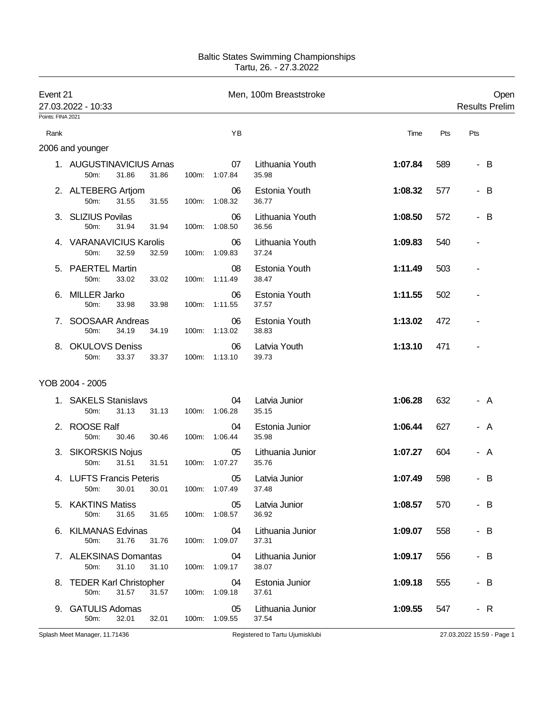## Baltic States Swimming Championships Tartu, 26. - 27.3.2022

| Event 21          | 27.03.2022 - 10:33                                  |          |                     | Men, 100m Breaststroke    |         | Open<br><b>Results Prelim</b> |  |
|-------------------|-----------------------------------------------------|----------|---------------------|---------------------------|---------|-------------------------------|--|
| Points: FINA 2021 |                                                     |          |                     |                           |         |                               |  |
| Rank              |                                                     |          | YB                  |                           | Time    | Pts<br>Pts                    |  |
|                   | 2006 and younger                                    |          |                     |                           |         |                               |  |
|                   | 1. AUGUSTINAVICIUS Arnas<br>50m:<br>31.86<br>31.86  | 100m:    | 07<br>1:07.84       | Lithuania Youth<br>35.98  | 1:07.84 | 589<br>- B                    |  |
|                   | 2. ALTEBERG Artjom<br>50m:<br>31.55<br>31.55        | 100m:    | 06<br>1:08.32       | Estonia Youth<br>36.77    | 1:08.32 | - B<br>577                    |  |
|                   | 3. SLIZIUS Povilas<br>31.94<br>50m:<br>31.94        | 100m:    | 06<br>1:08.50       | Lithuania Youth<br>36.56  | 1:08.50 | 572<br>B<br>$\blacksquare$    |  |
|                   | 4. VARANAVICIUS Karolis<br>50m:<br>32.59<br>32.59   | 100m:    | 06<br>1:09.83       | Lithuania Youth<br>37.24  | 1:09.83 | 540                           |  |
|                   | 5. PAERTEL Martin<br>50m:<br>33.02<br>33.02         | 100m:    | 08<br>1:11.49       | Estonia Youth<br>38.47    | 1:11.49 | 503                           |  |
| 6.                | <b>MILLER Jarko</b><br>50m:<br>33.98<br>33.98       | $100m$ : | 06<br>1:11.55       | Estonia Youth<br>37.57    | 1:11.55 | 502                           |  |
| 7.                | SOOSAAR Andreas<br>50m:<br>34.19<br>34.19           | 100m:    | 06<br>1:13.02       | Estonia Youth<br>38.83    | 1:13.02 | 472                           |  |
| 8.                | <b>OKULOVS Deniss</b><br>33.37<br>50m:<br>33.37     | 100m:    | 06<br>1:13.10       | Latvia Youth<br>39.73     | 1:13.10 | 471                           |  |
|                   | YOB 2004 - 2005                                     |          |                     |                           |         |                               |  |
| 1.                | <b>SAKELS Stanislavs</b><br>31.13<br>50m:<br>31.13  | 100m:    | 04<br>1:06.28       | Latvia Junior<br>35.15    | 1:06.28 | 632<br>- A                    |  |
| 2.                | <b>ROOSE Ralf</b><br>50m:<br>30.46<br>30.46         | 100m:    | 04<br>1:06.44       | Estonia Junior<br>35.98   | 1:06.44 | 627<br>- A                    |  |
|                   | 3. SIKORSKIS Nojus<br>31.51<br>31.51<br>50m:        | 100m:    | 05<br>1:07.27       | Lithuania Junior<br>35.76 | 1:07.27 | 604<br>- A                    |  |
|                   | 4. LUFTS Francis Peteris<br>50m: 30.01 30.01        |          | 05<br>100m: 1:07.49 | Latvia Junior<br>37.48    | 1:07.49 | 598<br>B                      |  |
|                   | 5. KAKTINS Matiss<br>31.65<br>31.65<br>50m:         |          | 05<br>100m: 1:08.57 | Latvia Junior<br>36.92    | 1:08.57 | 570<br>- B                    |  |
|                   | 6. KILMANAS Edvinas<br>50m:<br>31.76<br>31.76       |          | 04<br>100m: 1:09.07 | Lithuania Junior<br>37.31 | 1:09.07 | 558<br>- B                    |  |
|                   | 7. ALEKSINAS Domantas<br>31.10<br>31.10<br>50m:     |          | 04<br>100m: 1:09.17 | Lithuania Junior<br>38.07 | 1:09.17 | 556<br>- B                    |  |
|                   | 8. TEDER Karl Christopher<br>31.57<br>31.57<br>50m: |          | 04<br>100m: 1:09.18 | Estonia Junior<br>37.61   | 1:09.18 | 555<br>- B                    |  |
|                   | 9. GATULIS Adomas<br>32.01<br>50m:<br>32.01         |          | 05<br>100m: 1:09.55 | Lithuania Junior<br>37.54 | 1:09.55 | 547<br>- R                    |  |

Splash Meet Manager, 11.71436 **Registered to Tartu Ujumisklubi** 27.03.2022 15:59 - Page 1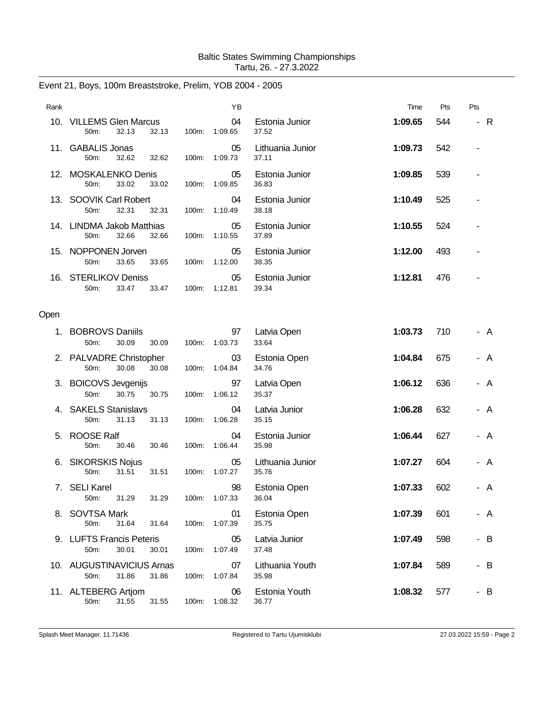## Baltic States Swimming Championships Tartu, 26. - 27.3.2022

## Event 21, Boys, 100m Breaststroke, Prelim, YOB 2004 - 2005

| Rank |                                                     |          | YB                  |                           | Time    | Pts | Pts                           |
|------|-----------------------------------------------------|----------|---------------------|---------------------------|---------|-----|-------------------------------|
|      | 10. VILLEMS Glen Marcus<br>32.13<br>50m:<br>32.13   |          | 04<br>100m: 1:09.65 | Estonia Junior<br>37.52   | 1:09.65 | 544 | $-R$                          |
| 11.  | <b>GABALIS Jonas</b><br>50m:<br>32.62<br>32.62      | 100m:    | 05<br>1:09.73       | Lithuania Junior<br>37.11 | 1:09.73 | 542 |                               |
| 12.  | <b>MOSKALENKO Denis</b><br>33.02<br>50m:<br>33.02   | 100m:    | 05<br>1:09.85       | Estonia Junior<br>36.83   | 1:09.85 | 539 |                               |
|      | 13. SOOVIK Carl Robert<br>32.31<br>50m:<br>32.31    | 100m:    | 04<br>1:10.49       | Estonia Junior<br>38.18   | 1:10.49 | 525 |                               |
|      | 14. LINDMA Jakob Matthias<br>32.66<br>50m:<br>32.66 | 100m:    | 05<br>1:10.55       | Estonia Junior<br>37.89   | 1:10.55 | 524 |                               |
|      | 15. NOPPONEN Jorven<br>50m:<br>33.65<br>33.65       |          | 05<br>100m: 1:12.00 | Estonia Junior<br>38.35   | 1:12.00 | 493 |                               |
| 16.  | <b>STERLIKOV Deniss</b><br>50m:<br>33.47<br>33.47   | $100m$ : | 05<br>1:12.81       | Estonia Junior<br>39.34   | 1:12.81 | 476 |                               |
| Open |                                                     |          |                     |                           |         |     |                               |
| 1.   | <b>BOBROVS Daniils</b><br>50m:<br>30.09<br>30.09    | 100m:    | 97<br>1:03.73       | Latvia Open<br>33.64      | 1:03.73 | 710 | A                             |
|      | 2. PALVADRE Christopher<br>30.08<br>50m:<br>30.08   |          | 03<br>100m: 1:04.84 | Estonia Open<br>34.76     | 1:04.84 | 675 | A                             |
|      | 3. BOICOVS Jevgenijs<br>50m:<br>30.75<br>30.75      | 100m:    | 97<br>1:06.12       | Latvia Open<br>35.37      | 1:06.12 | 636 | A<br>$\overline{\phantom{a}}$ |
|      | <b>SAKELS Stanislavs</b><br>50m:<br>31.13<br>31.13  | 100m:    | 04<br>1:06.28       | Latvia Junior<br>35.15    | 1:06.28 | 632 | A                             |
| 5.   | <b>ROOSE Ralf</b><br>50m:<br>30.46<br>30.46         | 100m:    | 04<br>1:06.44       | Estonia Junior<br>35.98   | 1:06.44 | 627 | A<br>-                        |
|      | 6. SIKORSKIS Nojus<br>50m:<br>31.51<br>31.51        | 100m:    | 05<br>1:07.27       | Lithuania Junior<br>35.76 | 1:07.27 | 604 | A                             |
| 7.   | <b>SELI Karel</b><br>50m:<br>31.29<br>31.29         | 100m:    | 98<br>1:07.33       | Estonia Open<br>36.04     | 1:07.33 | 602 | A<br>-                        |
|      | 8. SOVTSA Mark<br>50m:<br>31.64<br>31.64            | 100m:    | 01<br>1:07.39       | Estonia Open<br>35.75     | 1:07.39 | 601 | - A                           |
|      | 9. LUFTS Francis Peteris<br>30.01<br>50m:<br>30.01  |          | 05<br>100m: 1:07.49 | Latvia Junior<br>37.48    | 1:07.49 | 598 | - B                           |
|      | 10. AUGUSTINAVICIUS Arnas<br>50m:<br>31.86<br>31.86 | 100m:    | 07<br>1:07.84       | Lithuania Youth<br>35.98  | 1:07.84 | 589 | - B                           |
|      | 11. ALTEBERG Artjom<br>50m:<br>31.55<br>31.55       | 100m:    | 06<br>1:08.32       | Estonia Youth<br>36.77    | 1:08.32 | 577 | - B                           |